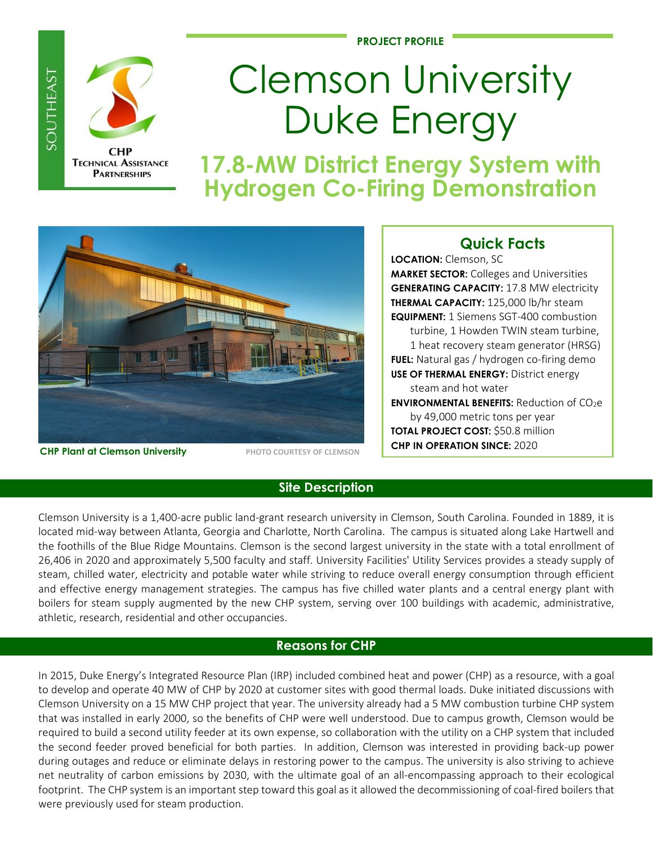**PROJECT PROFILE**



**SOUTHEAST** 

# Clemson University Duke Energy

**17.8-MW District Energy System with Hydrogen Co-Firing Demonstration**



**CHP Plant at Clemson University PHOTO COURTESY OF CLEMSON** 

## **Quick Facts**

**LOCATION:** Clemson, SC **MARKET SECTOR:** Colleges and Universities **GENERATING CAPACITY:** 17.8 MW electricity **THERMAL CAPACITY:** 125,000 lb/hr steam **EQUIPMENT:** 1 Siemens SGT-400 combustion turbine, 1 Howden TWIN steam turbine, 1 heat recovery steam generator (HRSG) **FUEL:** Natural gas / hydrogen co-firing demo **USE OF THERMAL ENERGY:** District energy steam and hot water **ENVIRONMENTAL BENEFITS:** Reduction of CO<sub>2</sub>e by 49,000 metric tons per year **TOTAL PROJECT COST:** \$50.8 million **CHP IN OPERATION SINCE:** 2020

## **Site Description**

Clemson University is a 1,400-acre public land-grant research university in Clemson, South Carolina. Founded in 1889, it is located mid-way between Atlanta, Georgia and Charlotte, North Carolina. The campus is situated along Lake Hartwell and the foothills of the Blue Ridge Mountains. Clemson is the second largest university in the state with a total enrollment of 26,406 in 2020 and approximately 5,500 faculty and staff. University Facilities' Utility Services provides a steady supply of steam, chilled water, electricity and potable water while striving to reduce overall energy consumption through efficient and effective energy management strategies. The campus has five chilled water plants and a central energy plant with boilers for steam supply augmented by the new CHP system, serving over 100 buildings with academic, administrative, athletic, research, residential and other occupancies.

## **Reasons for CHP**

In 2015, Duke Energy's Integrated Resource Plan (IRP) included combined heat and power (CHP) as a resource, with a goal to develop and operate 40 MW of CHP by 2020 at customer sites with good thermal loads. Duke initiated discussions with Clemson University on a 15 MW CHP project that year. The university already had a 5 MW combustion turbine CHP system that was installed in early 2000, so the benefits of CHP were well understood. Due to campus growth, Clemson would be required to build a second utility feeder at its own expense, so collaboration with the utility on a CHP system that included the second feeder proved beneficial for both parties. In addition, Clemson was interested in providing back-up power during outages and reduce or eliminate delays in restoring power to the campus. The university is also striving to achieve net neutrality of carbon emissions by 2030, with the ultimate goal of an all-encompassing approach to their ecological footprint. The CHP system is an important step toward this goal as it allowed the decommissioning of coal-fired boilers that were previously used for steam production.